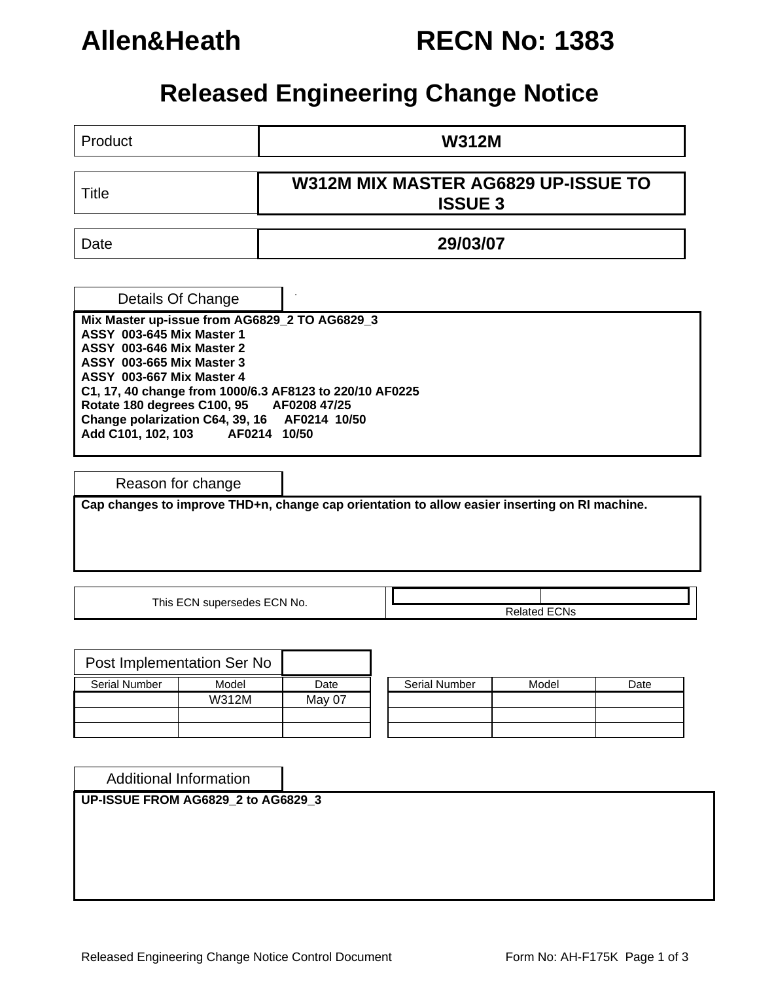## **Allen&Heath RECN No: 1383**

## **Released Engineering Change Notice**

Product **W312M** 

Title **W312M MIX MASTER AG6829 UP-ISSUE TO ISSUE 3** 

Date **29/03/07** 

. Details Of Change

**Mix Master up-issue from AG6829\_2 TO AG6829\_3 ASSY 003-645 Mix Master 1 ASSY 003-646 Mix Master 2 ASSY 003-665 Mix Master 3 ASSY 003-667 Mix Master 4 C1, 17, 40 change from 1000/6.3 AF8123 to 220/10 AF0225 Rotate 180 degrees C100, 95 AF0208 47/25 Change polarization C64, 39, 16 AF0214 10/50 Add C101, 102, 103 AF0214 10/50** 

Reason for change

**Cap changes to improve THD+n, change cap orientation to allow easier inserting on RI machine.** 

This ECN supersedes ECN No.  $\overline{\qquad}$ 

| Post Implementation Ser No |       |        |                      |       |      |
|----------------------------|-------|--------|----------------------|-------|------|
| Serial Number              | Model | Date   | <b>Serial Number</b> | Model | Date |
|                            | W312M | May 07 |                      |       |      |
|                            |       |        |                      |       |      |
|                            |       |        |                      |       |      |

| Serial Number | Model | Date |  |  |
|---------------|-------|------|--|--|
|               |       |      |  |  |
|               |       |      |  |  |
|               |       |      |  |  |

Additional Information

**UP-ISSUE FROM AG6829\_2 to AG6829\_3**